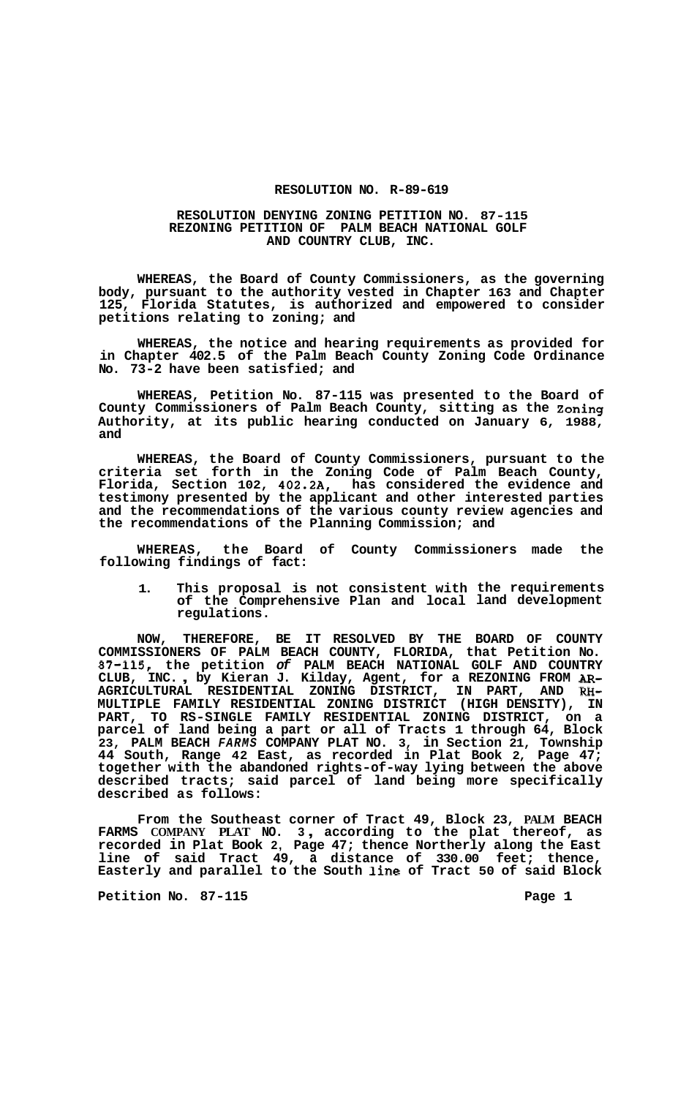## **RESOLUTION NO. R-89-619**

## **RESOLUTION DENYING ZONING PETITION NO. 87-115 REZONING PETITION OF PALM BEACH NATIONAL GOLF AND COUNTRY CLUB, INC.**

**WHEREAS, the Board of County Commissioners, as the governing body, pursuant to the authority vested in Chapter 163 and Chapter 125, Florida Statutes, is authorized and empowered to consider petitions relating to zoning; and** 

**WHEREAS, the notice and hearing requirements as provided for in Chapter 402.5 of the Palm Beach County Zoning Code Ordinance No. 73-2 have been satisfied; and** 

**WHEREAS, Petition No. 87-115 was presented to the Board of County Commissioners of Palm Beach County, sitting as the Zoning Authority, at its public hearing conducted on January 6, 1988, and** 

**WHEREAS, the Board of County Commissioners, pursuant to the criteria set forth in the Zoning Code of Palm Beach County, Florida, Section 102, 402.2A, has considered the evidence and testimony presented by the applicant and other interested parties and the recommendations of the various county review agencies and the recommendations of the Planning Commission; and** 

**WHEREAS, the Board of County Commissioners made the following findings of fact:** 

**1. This proposal is not of the Comprehensive regulations. consistent with the requirements Plan and local land development** 

**NOW, THEREFORE, BE IT RESOLVED BY THE BOARD OF COUNTY COMMISSIONERS OF PALM BEACH COUNTY, FLORIDA, that Petition No. 87-115, the petition** *of* **PALM BEACH NATIONAL GOLF AND COUNTRY CLUB, INC.** , **by Kieran J. Kilday, Agent, for a REZONING FROM** *AR-***AGRICULTURAL RESIDENTIAL ZONING DISTRICT, IN PART, AND RH-MULTIPLE FAMILY RESIDENTIAL ZONING DISTRICT (HIGH DENSITY), IN PART, TO RS-SINGLE FAMILY RESIDENTIAL ZONING DISTRICT, on a parcel of land being a part or all of Tracts 1 through 64, Block 23, PALM BEACH** *FARMS* **COMPANY PLAT NO. 3, in Section 21, Township 44 South, Range 42 East, as recorded in Plat Book 2, Page 47; together with the abandoned rights-of-way lying between the above described tracts; said parcel of land being more specifically described as follows:** 

**From the Southeast corner of Tract 49, Block 23, PALM BEACH FARMS COMPANY PLAT NO. 3** , **according to the plat thereof, as recorded in Plat Book 2, Page 47; thence Northerly along the East line of said Tract 49, a distance of 330.00 feet; thence, Easterly and parallel to the South line of Tract 50 of said Block** 

**Petition No. 87-115 Page 1**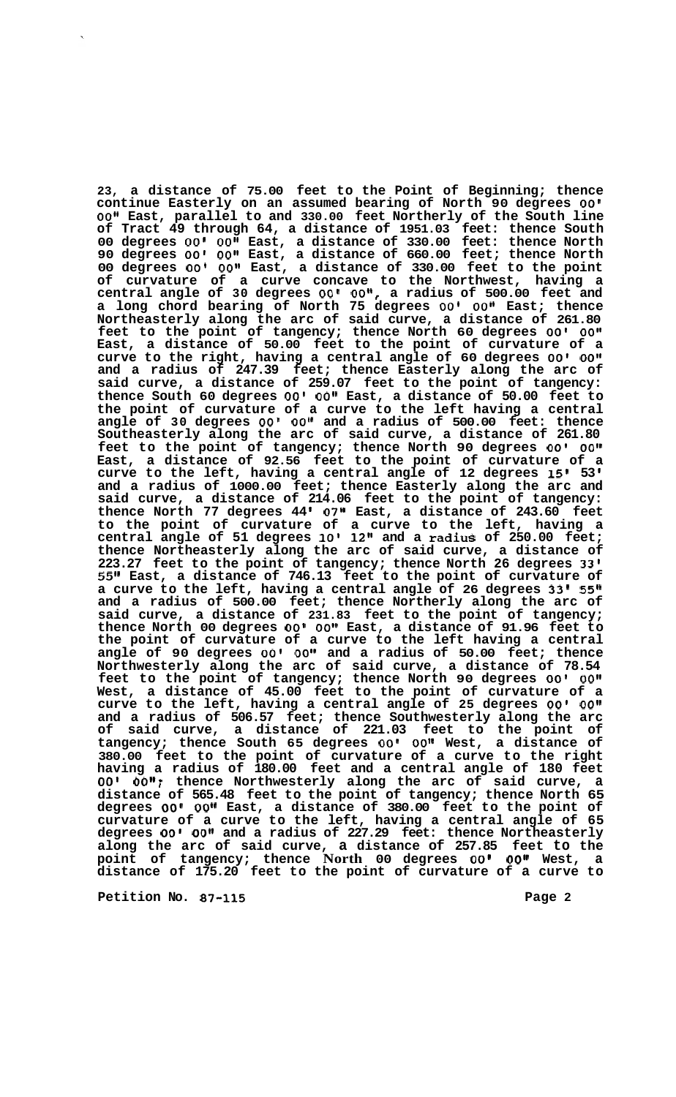**23, a distance of 75.00 feet to the Point of Beginning; thence continue Easterly on an assumed bearing of North 90 degrees** *00'*  00" East, parallel to and 330.00 feet Northerly of the South line **of Tract 49 through 64, a distance of 1951.03 feet: thence South 00 degrees** *00' 00"* **East, a distance of 330.00 feet: thence North 90 degrees** *00' 0011* **East, a distance of 660.00 feet; thence North 00 degrees** *00' 00"* **East, a distance of 330.00 feet to the point of curvature of a curve concave to the Northwest, having a central angle of 30 degrees** *00' OO",* **a radius of 500.00 feet and a long chord bearing of North 75 degrees** *00' 0011* **East; thence Northeasterly along the arc of said curve, a distance of 261.80 feet to the point of tangency; thence North 60 degrees** *00' OOI1*  **East, a distance of 50.00 feet to the point of curvature of a curve to the right, having a central angle of 60 degrees** *00' 001'*  **and a radius of 247.39 feet; thence Easterly along the arc of said curve, a distance of 259.07 feet to the point of tangency: thence South 60 degrees** *00'* **OOII East, a distance of 50.00 feet to the point of curvature of a curve to the left having a central angle of 30 degrees** *00' O0l1* **and a radius of 500.00 feet: thence Southeasterly along the arc of said curve, a distance of 261.80 feet to the point of tangency; thence North 90 degrees** *00'* **OOV1 East, a distance of 92.56 feet to the point of curvature of a curve to the left, having a central angle of 12 degrees 15' 53 and a radius of 1000.00 feet; thence Easterly along the arc and said curve, a distance of 214.06 feet to the point of tangency: thence North 77 degrees 44 07'' East, a distance of 243.60 feet to the point of curvature of a curve to the left, having a central angle of 51 degrees 10' 12" and a radiuS of 250.00 feet; thence Northeasterly along the arc of said curve, a distance of 223.27 feet to the point of tangency; thence North 26 degrees 33' 55" East, a distance of 746.13 feet to the point of curvature of a curve to the left, having a central angle of 26 degrees 33' 55" and a radius of 500.00 feet; thence Northerly along the arc of said curve, a distance of 231.83 feet to the point of tangency; thence North 00 degrees** *00' 0011* **East, a distance of 91.96 feet to the point of curvature of a curve to the left having a central angle of 90 degrees** *00'* **OO@@ and a radius of 50.00 feet; thence Northwesterly along the arc of said curve, a distance of 78.54 feet to the point of tangency; thence North 90 degrees** *00'* **0Of1 West, a distance of 45.00 feet to the point of curvature of a curve to the left, having a central angle of 25 degrees** *00' 0O1l*  **and a radius of 506.57 feet; thence Southwesterly along the arc of said curve, a distance of 221.03 feet to the point of tangency; thence South 65 degrees** *00'* **0Ott West, a distance of 380.00 feet to the point of curvature of a curve to the right having a radius of 180.00 feet and a central angle of 180 feet**  *00'* **00Il; thence Northwesterly along the arc of said curve, a distance of 565.48 feet to the point of tangency; thence North 65 degrees** *00'* **0Ott East, a distance of 380.00 feet to the point of curvature of a curve to the left, having a central angle of 65 degrees** *00' 0O1l* **and a radius of 227.29 feet: thence Northeasterly along the arc of said curve, a distance of 257.85 feet to the point of tangency; thence North 00 degrees** *00' 00"* **West, a distance of 175.20 feet to the point of curvature of a curve to** 

**Petition No. 87-115** Page 2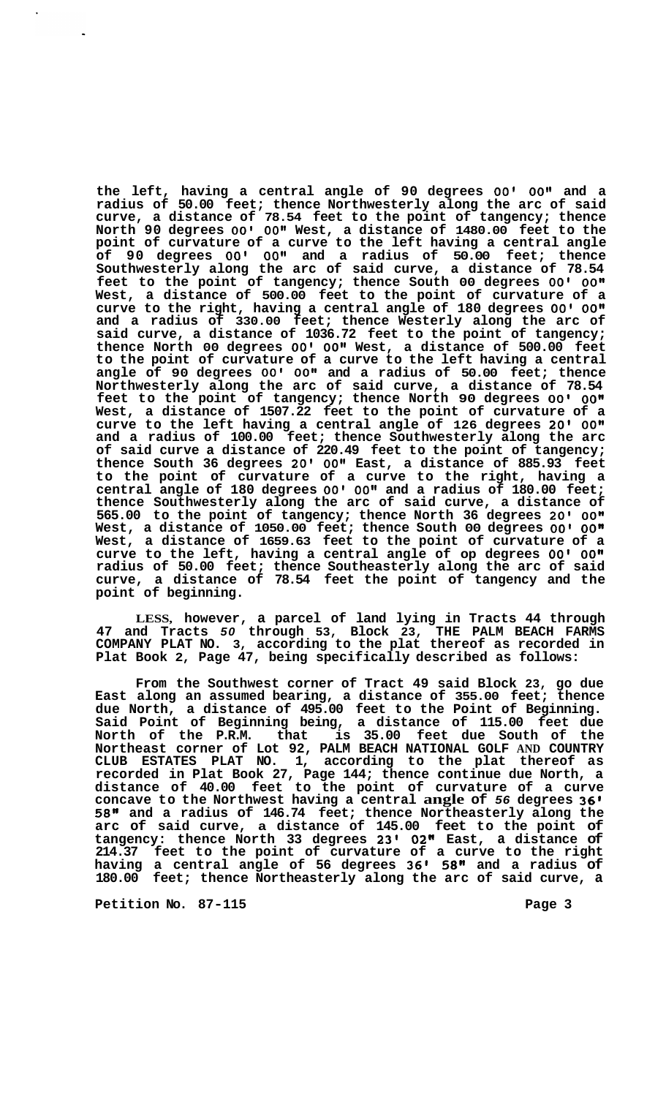**the left, having a central angle of 90 degrees** *00' 00"* **and a radius of 50.00 feet; thence Northwesterly along the arc of said curve, a distance of 78.54 feet to the point of tangency; thence North 90 degrees** *00' 00"* **West, a distance of 1480.00 feet to the point of curvature of a curve to the left having a central angle of 90 degrees** *00' 0O1\** **and a radius of 50.00 feet; thence Southwesterly along the arc of said curve, a distance of 78.54 feet to the point of tangency; thence South 00 degrees** *00'* **OOn West, a distance of 500.00 feet to the point of curvature of a curve to the right, having a central angle of 180 degrees** *00' 00"*  **and a radius of 330.00 feet; thence Westerly along the arc of said curve, a distance of 1036.72 feet to the point of tangency; thence North 00 degrees** *00' O0I1* **West, a distance of 500.00 feet to the point of curvature of a curve to the left having a central angle of 90 degrees** *00' 00''* **and a radius of 50.00 feet; thence Northwesterly along the arc of said curve, a distance of 78.54 feet to the point of tangency; thence North 90 degrees** *00'* **OOn West, a distance of 1507.22 feet to the point of curvature of a curve to the left having a central angle of 126 degrees 20'** *00"*  **and a radius of 100.00 feet; thence Southwesterly along the arc of said curve a distance of 220.49 feet to the point of tangency; thence South 36 degrees 20'** *00"* **East, a distance of 885.93 feet to the point of curvature of a curve to the right, having a central angle of 180 degrees** *00' 0Ot1* **and a radius of 180.00 feet; thence Southwesterly along the arc of said curve, a distance of 565.00 to the point of tangency; thence North 36 degrees 20'** *00"*  **West, a distance of 1050.00 feet; thence South 00 degrees** *00' 00"*  **West, a distance of 1659.63 feet to the point of curvature of a curve to the left, having a central angle of op degrees** *00' 00"*  **radius of 50.00 feet; thence Southeasterly along the arc of said curve, a distance of 78.54 feet the point of tangency and the point of beginning.** 

**LESS, however, a parcel of land lying in Tracts 44 through 47 and Tracts** *50* **through 53, Block 23, THE PALM BEACH FARMS COMPANY PLAT NO. 3, according to the plat thereof as recorded in Plat Book 2, Page 47, being specifically described as follows:** 

**From the Southwest corner of Tract 49 said Block 23, go due East along an assumed bearing, a distance of 355.00 feet; thence due North, a distance of 495.00 feet to the Point of Beginning. Said Point of Beginning being, a distance of 115.00 feet due North of the P.R.M. that is 35.00 feet due South of the Northeast corner of Lot 92, PALM BEACH NATIONAL GOLF AND COUNTRY CLUB ESTATES PLAT NO. 1, according to the plat thereof as recorded in Plat Book 27, Page 144; thence continue due North, a distance of 40.00 feet to the point of curvature of a curve concave to the Northwest having a central angle of** *56* **degrees 36'**  *58"* **and a radius of 146.74 feet; thence Northeasterly along the arc of said curve, a distance of 145.00 feet to the point of tangency: thence North 33 degrees 23'** *02"* **East, a distance of 214.37 feet to the point of curvature of a curve to the right having a central angle of 56 degrees 36'** *58"* **and a radius of 180.00 feet; thence Northeasterly along the arc of said curve, a**